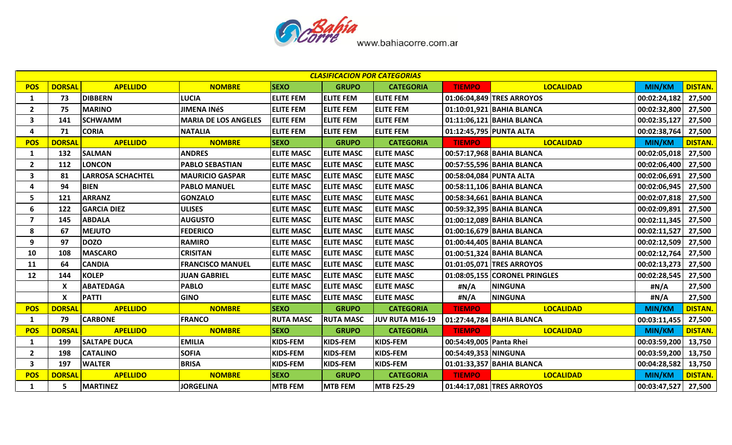

|                         | <b>CLASIFICACION POR CATEGORIAS</b> |                          |                             |                   |                   |                   |                         |                               |               |                |  |  |  |
|-------------------------|-------------------------------------|--------------------------|-----------------------------|-------------------|-------------------|-------------------|-------------------------|-------------------------------|---------------|----------------|--|--|--|
| <b>POS</b>              | <b>DORSAL</b>                       | <b>APELLIDO</b>          | <b>NOMBRE</b>               | <b>SEXO</b>       | <b>GRUPO</b>      | <b>CATEGORIA</b>  | <b>TIEMPO</b>           | <b>LOCALIDAD</b>              | MIN/KM        | <b>DISTAN.</b> |  |  |  |
| 1                       | 73                                  | <b>DIBBERN</b>           | <b>LUCIA</b>                | <b>ELITE FEM</b>  | <b>ELITE FEM</b>  | <b>ELITE FEM</b>  |                         | 01:06:04,849 TRES ARROYOS     | 00:02:24,182  | 27,500         |  |  |  |
| $\overline{2}$          | 75                                  | <b>MARINO</b>            | <b>JIMENA INÉS</b>          | <b>ELITE FEM</b>  | <b>ELITE FEM</b>  | <b>ELITE FEM</b>  |                         | 01:10:01,921 BAHIA BLANCA     | 00:02:32,800  | 27,500         |  |  |  |
| $\mathbf{3}$            | 141                                 | <b>SCHWAMM</b>           | <b>MARIA DE LOS ANGELES</b> | <b>ELITE FEM</b>  | <b>ELITE FEM</b>  | <b>ELITE FEM</b>  |                         | 01:11:06,121 BAHIA BLANCA     | 00:02:35,127  | 27,500         |  |  |  |
| 4                       | 71                                  | <b>CORIA</b>             | <b>NATALIA</b>              | <b>ELITE FEM</b>  | <b>ELITE FEM</b>  | <b>ELITE FEM</b>  |                         | 01:12:45,795 PUNTA ALTA       | 00:02:38,764  | 27,500         |  |  |  |
| <b>POS</b>              | <b>DORSAL</b>                       | <b>APELLIDO</b>          | <b>NOMBRE</b>               | <b>SEXO</b>       | <b>GRUPO</b>      | <b>CATEGORIA</b>  | <b>TIEMPO</b>           | <b>LOCALIDAD</b>              | MIN/KM        | <b>DISTAN.</b> |  |  |  |
| 1                       | 132                                 | <b>SALMAN</b>            | <b>ANDRES</b>               | <b>ELITE MASC</b> | <b>ELITE MASC</b> | <b>ELITE MASC</b> |                         | 00:57:17,968 BAHIA BLANCA     | 00:02:05,018  | 27,500         |  |  |  |
| $\overline{2}$          | 112                                 | <b>LONCON</b>            | <b>PABLO SEBASTIAN</b>      | <b>ELITE MASC</b> | <b>ELITE MASC</b> | <b>ELITE MASC</b> |                         | 00:57:55,596 BAHIA BLANCA     | 00:02:06,400  | 27,500         |  |  |  |
| 3                       | 81                                  | <b>LARROSA SCHACHTEL</b> | <b>MAURICIO GASPAR</b>      | <b>ELITE MASC</b> | <b>ELITE MASC</b> | <b>ELITE MASC</b> |                         | 00:58:04,084 PUNTA ALTA       | 00:02:06,691  | 27,500         |  |  |  |
| 4                       | 94                                  | <b>BIEN</b>              | <b>PABLO MANUEL</b>         | <b>ELITE MASC</b> | <b>ELITE MASC</b> | <b>ELITE MASC</b> |                         | 00:58:11,106 BAHIA BLANCA     | 00:02:06,945  | 27,500         |  |  |  |
| 5                       | 121                                 | <b>ARRANZ</b>            | <b>GONZALO</b>              | <b>ELITE MASC</b> | <b>ELITE MASC</b> | <b>ELITE MASC</b> |                         | 00:58:34,661 BAHIA BLANCA     | 00:02:07,818  | 27,500         |  |  |  |
| 6                       | 122                                 | <b>GARCIA DIEZ</b>       | <b>ULISES</b>               | <b>ELITE MASC</b> | <b>ELITE MASC</b> | <b>ELITE MASC</b> |                         | 00:59:32,395 BAHIA BLANCA     | 00:02:09,891  | 27,500         |  |  |  |
| $\overline{\mathbf{z}}$ | 145                                 | <b>ABDALA</b>            | <b>AUGUSTO</b>              | <b>ELITE MASC</b> | <b>ELITE MASC</b> | <b>ELITE MASC</b> |                         | 01:00:12,089 BAHIA BLANCA     | 00:02:11,345  | 27,500         |  |  |  |
| 8                       | 67                                  | <b>MEJUTO</b>            | <b>FEDERICO</b>             | <b>ELITE MASC</b> | <b>ELITE MASC</b> | <b>ELITE MASC</b> |                         | 01:00:16,679 BAHIA BLANCA     | 00:02:11,527  | 27,500         |  |  |  |
| 9                       | 97                                  | <b>DOZO</b>              | <b>RAMIRO</b>               | <b>ELITE MASC</b> | <b>ELITE MASC</b> | <b>ELITE MASC</b> |                         | 01:00:44,405 BAHIA BLANCA     | 00:02:12,509  | 27,500         |  |  |  |
| 10                      | 108                                 | <b>MASCARO</b>           | <b>CRISITAN</b>             | <b>ELITE MASC</b> | <b>ELITE MASC</b> | <b>ELITE MASC</b> |                         | 01:00:51,324 BAHIA BLANCA     | 00:02:12,764  | 27,500         |  |  |  |
| 11                      | 64                                  | <b>CANDIA</b>            | <b>FRANCISCO MANUEL</b>     | <b>ELITE MASC</b> | <b>ELITE MASC</b> | <b>ELITE MASC</b> |                         | 01:01:05,071 TRES ARROYOS     | 00:02:13,273  | 27,500         |  |  |  |
| 12                      | 144                                 | <b>KOLEP</b>             | <b>JUAN GABRIEL</b>         | <b>ELITE MASC</b> | <b>ELITE MASC</b> | <b>ELITE MASC</b> |                         | 01:08:05,155 CORONEL PRINGLES | 00:02:28,545  | 27,500         |  |  |  |
|                         | X                                   | <b>ABATEDAGA</b>         | <b>PABLO</b>                | <b>ELITE MASC</b> | <b>ELITE MASC</b> | <b>ELITE MASC</b> | #N/A                    | <b>NINGUNA</b>                | #N/A          | 27,500         |  |  |  |
|                         | $\boldsymbol{\mathsf{X}}$           | <b>PATTI</b>             | <b>GINO</b>                 | <b>ELITE MASC</b> | <b>ELITE MASC</b> | <b>ELITE MASC</b> | #N/A                    | <b>NINGUNA</b>                | #N/A          | 27,500         |  |  |  |
| <b>POS</b>              | <b>DORSAL</b>                       | <b>APELLIDO</b>          | <b>NOMBRE</b>               | <b>SEXO</b>       | <b>GRUPO</b>      | <b>CATEGORIA</b>  | <b>TIEMPO</b>           | <b>LOCALIDAD</b>              | <b>MIN/KM</b> | <b>DISTAN.</b> |  |  |  |
| 1                       | 79                                  | <b>CARBONE</b>           | <b>FRANCO</b>               | <b>RUTA MASC</b>  | <b>RUTA MASC</b>  | JUV RUTA M16-19   |                         | 01:27:44,784 BAHIA BLANCA     | 00:03:11,455  | 27,500         |  |  |  |
| <b>POS</b>              | <b>DORSAL</b>                       | <b>APELLIDO</b>          | <b>NOMBRE</b>               | <b>SEXO</b>       | <b>GRUPO</b>      | <b>CATEGORIA</b>  | <b>TIEMPO</b>           | <b>LOCALIDAD</b>              | MIN/KM        | <b>DISTAN.</b> |  |  |  |
| 1                       | 199                                 | <b>SALTAPE DUCA</b>      | <b>EMILIA</b>               | KIDS-FEM          | <b>KIDS-FEM</b>   | KIDS-FEM          | 00:54:49,005 Panta Rhei |                               | 00:03:59,200  | 13,750         |  |  |  |
| $\overline{2}$          | 198                                 | <b>CATALINO</b>          | <b>SOFIA</b>                | <b>KIDS-FEM</b>   | KIDS-FEM          | KIDS-FEM          | 00:54:49,353 NINGUNA    |                               | 00:03:59,200  | 13,750         |  |  |  |
| 3                       | 197                                 | <b>WALTER</b>            | <b>BRISA</b>                | KIDS-FEM          | <b>KIDS-FEM</b>   | KIDS-FEM          |                         | 01:01:33,357 BAHIA BLANCA     | 00:04:28,582  | 13,750         |  |  |  |
| <b>POS</b>              | <b>DORSAL</b>                       | <b>APELLIDO</b>          | <b>NOMBRE</b>               | <b>SEXO</b>       | <b>GRUPO</b>      | <b>CATEGORIA</b>  | <b>TIEMPO</b>           | <b>LOCALIDAD</b>              | <b>MIN/KM</b> | <b>DISTAN.</b> |  |  |  |
| $\mathbf{1}$            | 5                                   | <b>MARTINEZ</b>          | <b>JORGELINA</b>            | <b>MTB FEM</b>    | <b>MTB FEM</b>    | <b>MTB F25-29</b> |                         | 01:44:17,081 TRES ARROYOS     | 00:03:47,527  | 27,500         |  |  |  |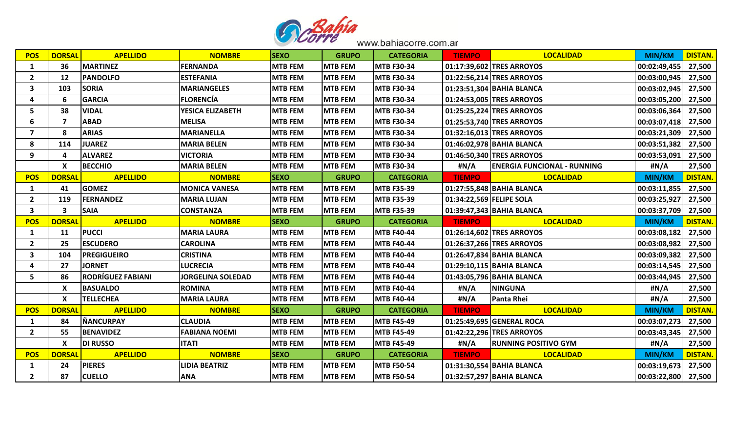

| <b>POS</b>              | <b>DORSAL</b>  | <b>APELLIDO</b>          | <b>NOMBRE</b>            | <b>SEXO</b>    | <b>GRUPO</b>   | <b>CATEGORIA</b>  | <b>TIEMPO</b>            | <b>LOCALIDAD</b>                   | <b>MIN/KM</b> | <b>DISTAN.</b> |
|-------------------------|----------------|--------------------------|--------------------------|----------------|----------------|-------------------|--------------------------|------------------------------------|---------------|----------------|
| 1                       | 36             | <b>MARTINEZ</b>          | <b>FERNANDA</b>          | <b>MTB FEM</b> | <b>MTB FEM</b> | <b>MTB F30-34</b> |                          | 01:17:39,602 TRES ARROYOS          | 00:02:49,455  | 27,500         |
| $\overline{2}$          | 12             | <b>PANDOLFO</b>          | <b>ESTEFANIA</b>         | <b>MTB FEM</b> | <b>MTB FEM</b> | <b>MTB F30-34</b> |                          | 01:22:56,214 TRES ARROYOS          | 00:03:00,945  | 27,500         |
| 3                       | 103            | <b>SORIA</b>             | <b>MARIANGELES</b>       | <b>MTB FEM</b> | <b>MTB FEM</b> | <b>MTB F30-34</b> |                          | 01:23:51,304 BAHIA BLANCA          | 00:03:02,945  | 27,500         |
| 4                       | 6              | <b>GARCIA</b>            | <b>FLORENCÍA</b>         | <b>MTB FEM</b> | <b>MTB FEM</b> | <b>MTB F30-34</b> |                          | 01:24:53,005 TRES ARROYOS          | 00:03:05,200  | 27,500         |
| 5                       | 38             | <b>VIDAL</b>             | YESICA ELIZABETH         | <b>MTB FEM</b> | <b>MTB FEM</b> | <b>MTB F30-34</b> |                          | 01:25:25,224 TRES ARROYOS          | 00:03:06,364  | 27,500         |
| 6                       | $\overline{ }$ | <b>ABAD</b>              | <b>MELISA</b>            | <b>MTB FEM</b> | <b>MTB FEM</b> | <b>MTB F30-34</b> |                          | 01:25:53,740 TRES ARROYOS          | 00:03:07,418  | 27,500         |
| $\overline{\mathbf{z}}$ | 8              | <b>ARIAS</b>             | <b>MARIANELLA</b>        | <b>MTB FEM</b> | <b>MTB FEM</b> | <b>MTB F30-34</b> |                          | 01:32:16,013 TRES ARROYOS          | 00:03:21,309  | 27,500         |
| 8                       | 114            | <b>JUAREZ</b>            | <b>MARIA BELEN</b>       | <b>MTB FEM</b> | <b>MTB FEM</b> | <b>MTB F30-34</b> |                          | 01:46:02,978 BAHIA BLANCA          | 00:03:51,382  | 27,500         |
| 9                       | 4              | <b>ALVAREZ</b>           | <b>VICTORIA</b>          | <b>MTB FEM</b> | <b>MTB FEM</b> | <b>MTB F30-34</b> |                          | 01:46:50,340 TRES ARROYOS          | 00:03:53,091  | 27,500         |
|                         | X              | <b>BECCHIO</b>           | <b>MARIA BELEN</b>       | <b>MTB FEM</b> | <b>MTB FEM</b> | <b>MTB F30-34</b> | #N/A                     | <b>ENERGIA FUNCIONAL - RUNNING</b> | #N/A          | 27,500         |
| <b>POS</b>              | <b>DORSAL</b>  | <b>APELLIDO</b>          | <b>NOMBRE</b>            | <b>SEXO</b>    | <b>GRUPO</b>   | <b>CATEGORIA</b>  | <b>TIEMPO</b>            | <b>LOCALIDAD</b>                   | <b>MIN/KM</b> | <b>DISTAN.</b> |
| 1                       | 41             | <b>GOMEZ</b>             | <b>MONICA VANESA</b>     | <b>MTB FEM</b> | <b>MTB FEM</b> | <b>MTB F35-39</b> |                          | 01:27:55,848 BAHIA BLANCA          | 00:03:11,855  | 27,500         |
| $\overline{2}$          | 119            | <b>FERNANDEZ</b>         | <b>MARIA LUJAN</b>       | <b>MTB FEM</b> | <b>MTB FEM</b> | <b>MTB F35-39</b> | 01:34:22,569 FELIPE SOLA |                                    | 00:03:25,927  | 27,500         |
| 3                       | 3              | <b>SAIA</b>              | <b>CONSTANZA</b>         | <b>MTB FEM</b> | <b>MTB FEM</b> | <b>MTB F35-39</b> |                          | 01:39:47,343 BAHIA BLANCA          | 00:03:37,709  | 27,500         |
|                         |                |                          |                          |                |                |                   |                          |                                    |               |                |
| <b>POS</b>              | <b>DORSAL</b>  | <b>APELLIDO</b>          | <b>NOMBRE</b>            | <b>SEXO</b>    | <b>GRUPO</b>   | <b>CATEGORIA</b>  | <b>TIEMPO</b>            | <b>LOCALIDAD</b>                   | <b>MIN/KM</b> | <b>DISTAN.</b> |
| 1                       | 11             | <b>PUCCI</b>             | <b>MARIA LAURA</b>       | <b>MTB FEM</b> | <b>MTB FEM</b> | <b>MTB F40-44</b> |                          | 01:26:14,602 TRES ARROYOS          | 00:03:08,182  | 27,500         |
| $\overline{2}$          | 25             | <b>ESCUDERO</b>          | <b>CAROLINA</b>          | <b>MTB FEM</b> | <b>MTB FEM</b> | <b>MTB F40-44</b> |                          | 01:26:37,266 TRES ARROYOS          | 00:03:08,982  | 27,500         |
| 3                       | 104            | <b>PREGIGUEIRO</b>       | <b>CRISTINA</b>          | <b>MTB FEM</b> | <b>MTB FEM</b> | <b>MTB F40-44</b> |                          | 01:26:47,834 BAHIA BLANCA          | 00:03:09,382  | 27,500         |
| 4                       | 27             | <b>JORNET</b>            | <b>LUCRECIA</b>          | <b>MTB FEM</b> | <b>MTB FEM</b> | <b>MTB F40-44</b> |                          | 01:29:10,115 BAHIA BLANCA          | 00:03:14,545  | 27,500         |
| 5                       | 86             | <b>RODRÍGUEZ FABIANI</b> | <b>JORGELINA SOLEDAD</b> | <b>MTB FEM</b> | <b>MTB FEM</b> | <b>MTB F40-44</b> |                          | 01:43:05,796 BAHIA BLANCA          | 00:03:44,945  | 27,500         |
|                         | $\mathsf{x}$   | <b>BASUALDO</b>          | <b>ROMINA</b>            | <b>MTB FEM</b> | <b>MTB FEM</b> | <b>MTB F40-44</b> | #N/A                     | <b>NINGUNA</b>                     | #N/A          | 27,500         |
|                         | X              | <b>TELLECHEA</b>         | <b>MARIA LAURA</b>       | <b>MTB FEM</b> | <b>MTB FEM</b> | <b>MTB F40-44</b> | #N/A                     | <b>Panta Rhei</b>                  | #N/A          | 27,500         |
| <b>POS</b>              | <b>DORSAL</b>  | <b>APELLIDO</b>          | <b>NOMBRE</b>            | <b>SEXO</b>    | <b>GRUPO</b>   | <b>CATEGORIA</b>  | <b>TIEMPO</b>            | <b>LOCALIDAD</b>                   | MIN/KM        | <b>DISTAN.</b> |
| 1                       | 84             | <b>NANCURPAY</b>         | <b>CLAUDIA</b>           | <b>MTB FEM</b> | <b>MTB FEM</b> | <b>MTB F45-49</b> |                          | 01:25:49,695 GENERAL ROCA          | 00:03:07,273  | 27,500         |
| $\overline{2}$          | 55             | <b>BENAVIDEZ</b>         | <b>FABIANA NOEMI</b>     | <b>MTB FEM</b> | <b>MTB FEM</b> | <b>MTB F45-49</b> |                          | 01:42:22,296 TRES ARROYOS          | 00:03:43,345  | 27,500         |
|                         | X              | <b>DI RUSSO</b>          | <b>ITATI</b>             | <b>MTB FEM</b> | <b>MTB FEM</b> | <b>MTB F45-49</b> | #N/A                     | <b>RUNNING POSITIVO GYM</b>        | #N/A          | 27,500         |
| <b>POS</b>              | <b>DORSAL</b>  | <b>APELLIDO</b>          | <b>NOMBRE</b>            | <b>SEXO</b>    | <b>GRUPO</b>   | <b>CATEGORIA</b>  | <b>TIEMPO</b>            | <b>LOCALIDAD</b>                   | <b>MIN/KM</b> | <b>DISTAN.</b> |
| 1                       | 24             | <b>PIERES</b>            | <b>LIDIA BEATRIZ</b>     | <b>MTB FEM</b> | <b>MTB FEM</b> | <b>MTB F50-54</b> |                          | 01:31:30,554 BAHIA BLANCA          | 00:03:19,673  | 27,500         |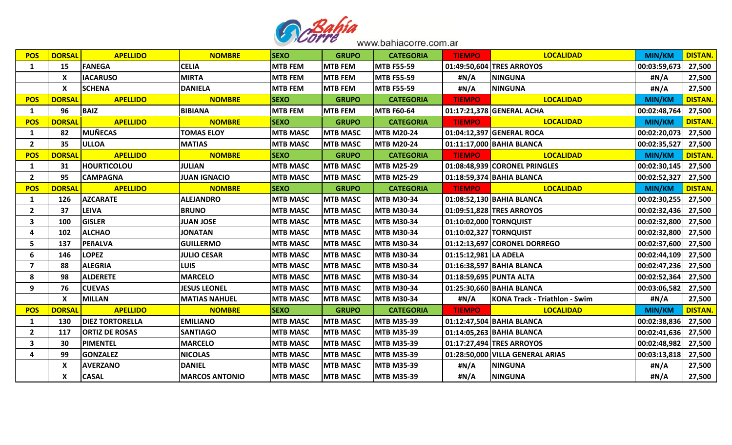

| <b>POS</b>              | <b>DORSAL</b> | <b>APELLIDO</b>        | <b>NOMBRE</b>         | <b>SEXO</b>     | <b>GRUPO</b>    | <b>CATEGORIA</b>  | <b>TIEMPO</b>           | <b>LOCALIDAD</b>                 | <b>MIN/KM</b>         | <b>DISTAN.</b> |
|-------------------------|---------------|------------------------|-----------------------|-----------------|-----------------|-------------------|-------------------------|----------------------------------|-----------------------|----------------|
| 1                       | 15            | <b>FANEGA</b>          | <b>CELIA</b>          | <b>MTB FEM</b>  | <b>MTB FEM</b>  | <b>MTB F55-59</b> |                         | 01:49:50,604 TRES ARROYOS        | 00:03:59,673          | 27,500         |
|                         | X             | <b>IACARUSO</b>        | MIRTA                 | <b>MTB FEM</b>  | <b>MTB FEM</b>  | <b>MTB F55-59</b> | #N/A                    | <b>NINGUNA</b>                   | #N/A                  | 27,500         |
|                         | X             | <b>SCHENA</b>          | <b>DANIELA</b>        | <b>MTB FEM</b>  | <b>MTB FEM</b>  | <b>MTB F55-59</b> | #N/A                    | <b>NINGUNA</b>                   | #N/A                  | 27,500         |
| <b>POS</b>              | <b>DORSAI</b> | <b>APELLIDO</b>        | <b>NOMBRE</b>         | <b>SEXO</b>     | <b>GRUPO</b>    | <b>CATEGORIA</b>  | <b>TIEMPO</b>           | <b>LOCALIDAD</b>                 | MIN/KM                | <b>DISTAN.</b> |
| 1                       | 96            | <b>BAIZ</b>            | <b>BIBIANA</b>        | <b>MTB FEM</b>  | <b>MTB FEM</b>  | <b>MTB F60-64</b> |                         | 01:17:21,378 GENERAL ACHA        | 00:02:48,764          | 27,500         |
| <b>POS</b>              | <b>DORSAL</b> | <b>APELLIDO</b>        | <b>NOMBRE</b>         | <b>SEXO</b>     | <b>GRUPO</b>    | <b>CATEGORIA</b>  | <b>TIEMPO</b>           | <b>LOCALIDAD</b>                 | <b>MIN/KM</b>         | <b>DISTAN.</b> |
| 1                       | 82            | <b>MUÑECAS</b>         | <b>TOMAS ELOY</b>     | <b>MTB MASC</b> | <b>MTB MASC</b> | <b>MTB M20-24</b> |                         | 01:04:12,397 GENERAL ROCA        | 00:02:20,073          | 27,500         |
| $\overline{2}$          | 35            | <b>ULLOA</b>           | <b>MATIAS</b>         | <b>MTB MASC</b> | <b>MTB MASC</b> | <b>MTB M20-24</b> |                         | 01:11:17,000 BAHIA BLANCA        | 00:02:35,527          | 27,500         |
| <b>POS</b>              | <b>DORSAL</b> | <b>APELLIDO</b>        | <b>NOMBRE</b>         | <b>SEXO</b>     | <b>GRUPO</b>    | <b>CATEGORIA</b>  | <b>TIEMPO</b>           | <b>LOCALIDAD</b>                 | MIN/KM                | <b>DISTAN.</b> |
| 1                       | 31            | <b>HOURTICOLOU</b>     | <b>JULIAN</b>         | <b>MTB MASC</b> | <b>MTB MASC</b> | <b>MTB M25-29</b> |                         | 01:08:48,939 CORONEL PRINGLES    | 00:02:30,145          | 27,500         |
| $\overline{2}$          | 95            | <b>CAMPAGNA</b>        | <b>JUAN IGNACIO</b>   | <b>MTB MASC</b> | <b>MTB MASC</b> | <b>MTB M25-29</b> |                         | 01:18:59,374 BAHIA BLANCA        | 00:02:52,327   27,500 |                |
| <b>POS</b>              | <b>DORSAI</b> | <b>APELLIDO</b>        | <b>NOMBRE</b>         | <b>SEXO</b>     | <b>GRUPO</b>    | <b>CATEGORIA</b>  | <b>TIEMPO</b>           | <b>LOCALIDAD</b>                 | <b>MIN/KM</b>         | <b>DISTAN.</b> |
| 1                       | 126           | <b>AZCARATE</b>        | <b>ALEJANDRO</b>      | <b>MTB MASC</b> | <b>MTB MASC</b> | <b>MTB M30-34</b> |                         | 01:08:52,130 BAHIA BLANCA        | 00:02:30,255          | 27,500         |
| $\overline{2}$          | 37            | <b>LEIVA</b>           | <b>BRUNO</b>          | <b>MTB MASC</b> | <b>MTB MASC</b> | <b>MTB M30-34</b> |                         | 01:09:51,828 TRES ARROYOS        | 00:02:32,436          | 27,500         |
| 3                       | 100           | <b>GISLER</b>          | <b>JUAN JOSE</b>      | <b>MTB MASC</b> | <b>MTB MASC</b> | <b>MTB M30-34</b> | 01:10:02,000 TORNQUIST  |                                  | 00:02:32,800          | 27,500         |
| 4                       | 102           | <b>ALCHAO</b>          | <b>JONATAN</b>        | <b>MTB MASC</b> | <b>MTB MASC</b> | <b>MTB M30-34</b> | 01:10:02,327 TORNQUIST  |                                  | 00:02:32,800          | 27,500         |
| 5                       | 137           | PEñALVA                | <b>GUILLERMO</b>      | <b>MTB MASC</b> | <b>MTB MASC</b> | <b>MTB M30-34</b> |                         | 01:12:13,697 CORONEL DORREGO     | 00:02:37,600          | 27,500         |
| 6                       | 146           | <b>LOPEZ</b>           | <b>JULIO CESAR</b>    | <b>MTB MASC</b> | <b>MTB MASC</b> | <b>MTB M30-34</b> | 01:15:12,981 LA ADELA   |                                  | 00:02:44,109          | 27,500         |
| $\overline{\mathbf{z}}$ | 88            | <b>ALEGRIA</b>         | <b>LUIS</b>           | <b>MTB MASC</b> | <b>MTB MASC</b> | <b>MTB M30-34</b> |                         | 01:16:38,597 BAHIA BLANCA        | 00:02:47,236          | 27,500         |
| 8                       | 98            | <b>ALDERETE</b>        | <b>MARCELO</b>        | <b>MTB MASC</b> | <b>MTB MASC</b> | <b>MTB M30-34</b> | 01:18:59,695 PUNTA ALTA |                                  | 00:02:52,364          | 27,500         |
| 9                       | 76            | <b>CUEVAS</b>          | <b>JESUS LEONEL</b>   | <b>MTB MASC</b> | <b>MTB MASC</b> | <b>MTB M30-34</b> |                         | 01:25:30,660 BAHIA BLANCA        | 00:03:06,582          | 27,500         |
|                         | X             | <b>MILLAN</b>          | <b>MATIAS NAHUEL</b>  | <b>MTB MASC</b> | <b>MTB MASC</b> | <b>MTB M30-34</b> | #N/A                    | KONA Track - Triathlon - Swim    | #N/A                  | 27,500         |
| <b>POS</b>              | <b>DORSAI</b> | <b>APELLIDO</b>        | <b>NOMBRE</b>         | <b>SEXO</b>     | <b>GRUPO</b>    | <b>CATEGORIA</b>  | <b>TIEMPO</b>           | <b>LOCALIDAD</b>                 | <b>MIN/KM</b>         | <b>DISTAN.</b> |
| 1                       | 130           | <b>DIEZ TORTORELLA</b> | <b>EMILIANO</b>       | <b>MTB MASC</b> | <b>MTB MASC</b> | <b>MTB M35-39</b> |                         | 01:12:47,504 BAHIA BLANCA        | 00:02:38,836          | 27,500         |
| $\overline{2}$          | 117           | <b>ORTIZ DE ROSAS</b>  | <b>SANTIAGO</b>       | <b>MTB MASC</b> | <b>MTB MASC</b> | <b>MTB M35-39</b> |                         | 01:14:05,263 BAHIA BLANCA        | 00:02:41,636          | 27,500         |
| 3                       | 30            | PIMENTEL               | <b>MARCELO</b>        | <b>MTB MASC</b> | <b>MTB MASC</b> | <b>MTB M35-39</b> |                         | 01:17:27,494 TRES ARROYOS        | 00:02:48,982          | 27,500         |
| 4                       | 99            | <b>GONZALEZ</b>        | <b>NICOLAS</b>        | <b>MTB MASC</b> | <b>MTB MASC</b> | <b>MTB M35-39</b> |                         | 01:28:50,000 VILLA GENERAL ARIAS | 00:03:13,818          | 27,500         |
|                         | X             | <b>AVERZANO</b>        | <b>DANIEL</b>         | <b>MTB MASC</b> | <b>MTB MASC</b> | <b>MTB M35-39</b> | #N/A                    | <b>NINGUNA</b>                   | #N/A                  | 27,500         |
|                         | X             | <b>CASAL</b>           | <b>MARCOS ANTONIO</b> | <b>MTB MASC</b> | <b>MTB MASC</b> | <b>MTB M35-39</b> | #N/A                    | <b>NINGUNA</b>                   | #N/A                  | 27,500         |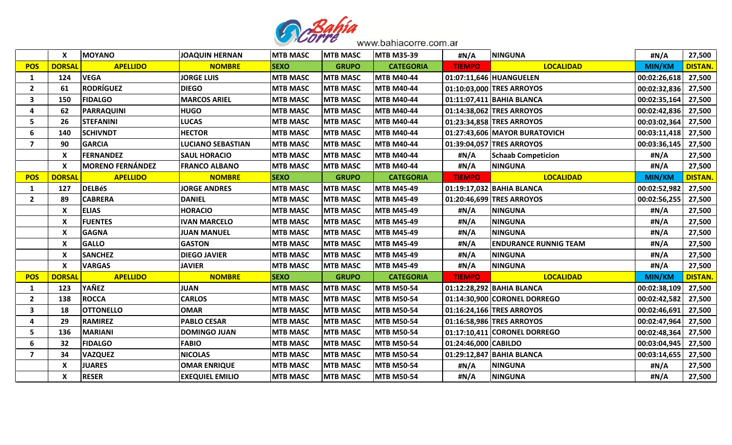

|                  | X             | <b>MOYANO</b>           | JOAQUIN HERNAN           | <b>MTB MASC</b> | <b>MTB MASC</b> | <b>MTB M35-39</b> | #N/A                 | <b>NINGUNA</b>                | #N/A          | 27,500         |  |
|------------------|---------------|-------------------------|--------------------------|-----------------|-----------------|-------------------|----------------------|-------------------------------|---------------|----------------|--|
| <b>POS</b>       | <b>DORSAI</b> | <b>APELLIDO</b>         | <b>NOMBRE</b>            | <b>SEXO</b>     | <b>GRUPO</b>    | <b>CATEGORIA</b>  | <b>TIEMPO</b>        | <b>LOCALIDAD</b>              | <b>MIN/KM</b> | <b>DISTAN.</b> |  |
| 1                | 124           | <b>VEGA</b>             | <b>JORGE LUIS</b>        | <b>MTB MASC</b> | <b>MTB MASC</b> | <b>MTB M40-44</b> |                      | 01:07:11,646 HUANGUELEN       | 00:02:26,618  | 27,500         |  |
| $\overline{2}$   | 61            | <b>RODRÍGUEZ</b>        | <b>DIEGO</b>             | <b>MTB MASC</b> | <b>MTB MASC</b> | <b>MTB M40-44</b> |                      | 01:10:03,000 TRES ARROYOS     | 00:02:32,836  | 27,500         |  |
| 3                | 150           | <b>FIDALGO</b>          | <b>MARCOS ARIEL</b>      | <b>MTB MASC</b> | <b>MTB MASC</b> | <b>MTB M40-44</b> |                      | 01:11:07,411 BAHIA BLANCA     | 00:02:35,164  | 27,500         |  |
| 4                | 62            | <b>PARRAQUINI</b>       | <b>HUGO</b>              | <b>MTB MASC</b> | <b>MTB MASC</b> | <b>MTB M40-44</b> |                      | 01:14:38,062 TRES ARROYOS     | 00:02:42,836  | 27,500         |  |
| 5                | 26            | <b>STEFANINI</b>        | <b>LUCAS</b>             | <b>MTB MASC</b> | <b>MTB MASC</b> | <b>MTB M40-44</b> |                      | 01:23:34,858 TRES ARROYOS     | 00:03:02,364  | 27,500         |  |
| 6                | 140           | <b>SCHIVNDT</b>         | <b>HECTOR</b>            | <b>MTB MASC</b> | <b>MTB MASC</b> | <b>MTB M40-44</b> |                      | 01:27:43,606 MAYOR BURATOVICH | 00:03:11,418  | 27,500         |  |
| $\overline{7}$   | 90            | <b>GARCIA</b>           | <b>LUCIANO SEBASTIAN</b> | <b>MTB MASC</b> | <b>MTB MASC</b> | <b>MTB M40-44</b> |                      | 01:39:04,057 TRES ARROYOS     | 00:03:36,145  | 27,500         |  |
|                  | X             | FERNANDEZ               | <b>SAUL HORACIO</b>      | <b>MTB MASC</b> | <b>MTB MASC</b> | <b>MTB M40-44</b> | #N/A                 | <b>Schaab Competicion</b>     | #N/A          | 27,500         |  |
|                  | X             | <b>MORENO FERNÁNDEZ</b> | <b>FRANCO ALBANO</b>     | <b>MTB MASC</b> | <b>MTB MASC</b> | <b>MTB M40-44</b> | #N/A                 | <b>NINGUNA</b>                | #N/A          | 27,500         |  |
| <b>POS</b>       | <b>DORSAI</b> | <b>APELLIDO</b>         | <b>NOMBRE</b>            | <b>SEXO</b>     | <b>GRUPO</b>    | <b>CATEGORIA</b>  | <b>TIEMPO</b>        | <b>LOCALIDAD</b>              | <b>MIN/KM</b> | <b>DISTAN.</b> |  |
| 1                | 127           | <b>DELBéS</b>           | <b>JORGE ANDRES</b>      | <b>MTB MASC</b> | <b>MTB MASC</b> | <b>MTB M45-49</b> |                      | 01:19:17,032 BAHIA BLANCA     | 00:02:52,982  | 27,500         |  |
| $\overline{2}$   | 89            | <b>CABRERA</b>          | <b>DANIEL</b>            | <b>MTB MASC</b> | <b>MTB MASC</b> | <b>MTB M45-49</b> |                      | 01:20:46,699 TRES ARROYOS     | 00:02:56,255  | 27,500         |  |
|                  | X             | <b>ELIAS</b>            | <b>HORACIO</b>           | <b>MTB MASC</b> | <b>MTB MASC</b> | <b>MTB M45-49</b> | #N/A                 | <b>NINGUNA</b>                | #N/A          | 27,500         |  |
|                  | X             | <b>FUENTES</b>          | <b>IVAN MARCELO</b>      | <b>MTB MASC</b> | <b>MTB MASC</b> | <b>MTB M45-49</b> | #N/A                 | <b>NINGUNA</b>                | #N/A          | 27,500         |  |
|                  | X             | <b>GAGNA</b>            | <b>JUAN MANUEL</b>       | <b>MTB MASC</b> | <b>MTB MASC</b> | <b>MTB M45-49</b> | #N/A                 | <b>NINGUNA</b>                | #N/A          | 27,500         |  |
|                  | X             | <b>GALLO</b>            | <b>GASTON</b>            | <b>MTB MASC</b> | <b>MTB MASC</b> | <b>MTB M45-49</b> | #N/A                 | <b>ENDURANCE RUNNIG TEAM</b>  | #N/A          | 27,500         |  |
|                  | X             | <b>SANCHEZ</b>          | <b>DIEGO JAVIER</b>      | <b>MTB MASC</b> | <b>MTB MASC</b> | <b>MTB M45-49</b> | #N/A                 | <b>NINGUNA</b>                | #N/A          | 27,500         |  |
|                  | X             | <b>VARGAS</b>           | <b>JAVIER</b>            | <b>MTB MASC</b> | <b>MTB MASC</b> | <b>MTB M45-49</b> | #N/A                 | <b>NINGUNA</b>                | #N/A          | 27,500         |  |
| <b>POS</b>       | <b>DORSAI</b> | <b>APELLIDO</b>         | <b>NOMBRE</b>            | <b>SEXO</b>     | <b>GRUPO</b>    | <b>CATEGORIA</b>  | <b>TIEMPO</b>        | <b>LOCALIDAD</b>              | <b>MIN/KM</b> | <b>DISTAN.</b> |  |
| 1                | 123           | YAÑEZ                   | <b>JUAN</b>              | <b>MTB MASC</b> | <b>MTB MASC</b> | <b>MTB M50-54</b> |                      | 01:12:28,292 BAHIA BLANCA     | 00:02:38,109  | 27,500         |  |
| $\overline{2}$   | 138           | <b>ROCCA</b>            | <b>CARLOS</b>            | <b>MTB MASC</b> | <b>MTB MASC</b> | <b>MTB M50-54</b> |                      | 01:14:30,900 CORONEL DORREGO  | 00:02:42,582  | 27,500         |  |
| 3                | 18            | <b>OTTONELLO</b>        | <b>OMAR</b>              | <b>MTB MASC</b> | <b>MTB MASC</b> | <b>MTB M50-54</b> |                      | 01:16:24,166 TRES ARROYOS     | 00:02:46,691  | 27,500         |  |
| 4                | 29            | <b>RAMIREZ</b>          | <b>PABLO CESAR</b>       | <b>MTB MASC</b> | <b>MTB MASC</b> | <b>MTB M50-54</b> |                      | 01:16:58,986 TRES ARROYOS     | 00:02:47,964  | 27,500         |  |
| 5                | 136           | <b>MARIANI</b>          | <b>DOMINGO JUAN</b>      | <b>MTB MASC</b> | <b>MTB MASC</b> | <b>MTB M50-54</b> |                      | 01:17:10,411 CORONEL DORREGO  | 00:02:48,364  | 27,500         |  |
| 6                | 32            | <b>FIDALGO</b>          | <b>FABIO</b>             | <b>MTB MASC</b> | <b>MTB MASC</b> | <b>MTB M50-54</b> | 01:24:46,000 CABILDO |                               | 00:03:04,945  | 27,500         |  |
| $\boldsymbol{7}$ | 34            | <b>VAZQUEZ</b>          | <b>NICOLAS</b>           | <b>MTB MASC</b> | <b>MTB MASC</b> | <b>MTB M50-54</b> |                      | 01:29:12,847 BAHIA BLANCA     | 00:03:14,655  | 27,500         |  |
|                  | X             | <b>JUARES</b>           | <b>OMAR ENRIQUE</b>      | <b>MTB MASC</b> | <b>MTB MASC</b> | <b>MTB M50-54</b> | #N/A                 | <b>NINGUNA</b>                | #N/A          | 27,500         |  |
|                  | X             | <b>RESER</b>            | <b>EXEQUIEL EMILIO</b>   | <b>MTB MASC</b> | <b>MTB MASC</b> | <b>MTB M50-54</b> | #N/A                 | <b>NINGUNA</b>                | #N/A          | 27,500         |  |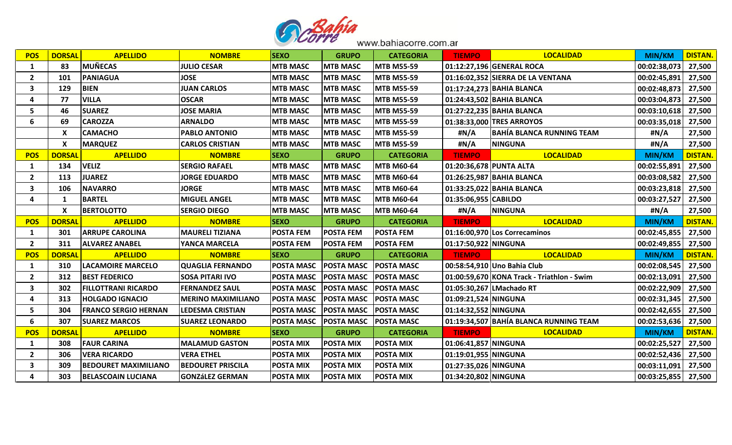

| <b>POS</b>     | <b>DORSAL</b> | <b>APELLIDO</b>             | <b>NOMBRE</b>             | <b>SEXO</b>       | <b>GRUPO</b>      | <b>CATEGORIA</b>  | <b>TIEMPO</b>           | <b>LOCALIDAD</b>                           | <b>MIN/KM</b>         | <b>DISTAN.</b> |
|----------------|---------------|-----------------------------|---------------------------|-------------------|-------------------|-------------------|-------------------------|--------------------------------------------|-----------------------|----------------|
| $\mathbf{1}$   | 83            | <b>MUÑECAS</b>              | <b>JULIO CESAR</b>        | <b>MTB MASC</b>   | <b>MTB MASC</b>   | <b>MTB M55-59</b> |                         | 01:12:27,196 GENERAL ROCA                  | 00:02:38,073          | 27,500         |
| $\overline{2}$ | 101           | <b>PANIAGUA</b>             | <b>JOSE</b>               | <b>MTB MASC</b>   | <b>MTB MASC</b>   | <b>MTB M55-59</b> |                         | 01:16:02,352 SIERRA DE LA VENTANA          | 00:02:45,891          | 27,500         |
| 3              | 129           | <b>BIEN</b>                 | <b>JUAN CARLOS</b>        | <b>MTB MASC</b>   | <b>MTB MASC</b>   | <b>MTB M55-59</b> |                         | 01:17:24,273 BAHIA BLANCA                  | 00:02:48,873          | 27,500         |
| Δ              | 77            | <b>VILLA</b>                | <b>OSCAR</b>              | <b>MTB MASC</b>   | <b>MTB MASC</b>   | <b>MTB M55-59</b> |                         | 01:24:43,502 BAHIA BLANCA                  | 00:03:04,873          | 27,500         |
| 5              | 46            | <b>SUAREZ</b>               | <b>JOSE MARIA</b>         | <b>MTB MASC</b>   | <b>MTB MASC</b>   | <b>MTB M55-59</b> |                         | 01:27:22,235 BAHIA BLANCA                  | 00:03:10,618          | 27,500         |
| 6              | 69            | <b>CAROZZA</b>              | <b>ARNALDO</b>            | <b>MTB MASC</b>   | <b>MTB MASC</b>   | <b>MTB M55-59</b> |                         | 01:38:33,000 TRES ARROYOS                  | 00:03:35,018          | 27,500         |
|                | X             | <b>CAMACHO</b>              | <b>PABLO ANTONIO</b>      | <b>MTB MASC</b>   | <b>MTB MASC</b>   | <b>MTB M55-59</b> | #N/A                    | BAHÍA BLANCA RUNNING TEAM                  | #N/A                  | 27,500         |
|                | X             | <b>MARQUEZ</b>              | <b>CARLOS CRISTIAN</b>    | <b>MTB MASC</b>   | <b>MTB MASC</b>   | <b>MTB M55-59</b> | #N/A                    | <b>NINGUNA</b>                             | #N/A                  | 27,500         |
| <b>POS</b>     | <b>DORSAL</b> | <b>APELLIDO</b>             | <b>NOMBRE</b>             | <b>SEXO</b>       | <b>GRUPO</b>      | <b>CATEGORIA</b>  | <b>TIEMPO</b>           | <b>LOCALIDAD</b>                           | <b>MIN/KM</b>         | <b>DISTAN.</b> |
| 1              | 134           | <b>VELIZ</b>                | <b>SERGIO RAFAEL</b>      | <b>MTB MASC</b>   | <b>MTB MASC</b>   | <b>MTB M60-64</b> | 01:20:36,678 PUNTA ALTA |                                            | 00:02:55,891          | 27,500         |
| $\overline{2}$ | 113           | <b>JUAREZ</b>               | <b>JORGE EDUARDO</b>      | <b>MTB MASC</b>   | <b>MTB MASC</b>   | <b>MTB M60-64</b> |                         | 01:26:25,987 BAHIA BLANCA                  | 00:03:08,582   27,500 |                |
| 3              | 106           | <b>NAVARRO</b>              | JORGE                     | <b>MTB MASC</b>   | <b>MTB MASC</b>   | <b>MTB M60-64</b> |                         | 01:33:25,022 BAHIA BLANCA                  | 00:03:23,818          | 27,500         |
| 4              | 1             | <b>BARTEL</b>               | <b>MIGUEL ANGEL</b>       | <b>MTB MASC</b>   | <b>MTB MASC</b>   | <b>MTB M60-64</b> | 01:35:06,955 CABILDO    |                                            | 00:03:27,527          | 27,500         |
|                | X             | <b>BERTOLOTTO</b>           | <b>SERGIO DIEGO</b>       | <b>MTB MASC</b>   | <b>MTB MASC</b>   | <b>MTB M60-64</b> | #N/A                    | <b>NINGUNA</b>                             | #N/A                  | 27,500         |
| <b>POS</b>     | <b>DORSAL</b> | <b>APELLIDO</b>             | <b>NOMBRE</b>             | <b>SEXO</b>       | <b>GRUPO</b>      | <b>CATEGORIA</b>  | <b>TIEMPO</b>           | <b>LOCALIDAD</b>                           | <b>MIN/KM</b>         | <b>DISTAN.</b> |
| 1              | 301           | <b>ARRUPE CAROLINA</b>      | <b>MAURELI TIZIANA</b>    | <b>POSTA FEM</b>  | <b>POSTA FEM</b>  | <b>POSTA FEM</b>  |                         | 01:16:00,970 Los Correcaminos              | 00:02:45,855          | 27,500         |
| $\overline{2}$ | 311           | <b>ALVAREZ ANABEL</b>       | YANCA MARCELA             | <b>POSTA FEM</b>  | <b>POSTA FEM</b>  | <b>POSTA FEM</b>  | 01:17:50,922 NINGUNA    |                                            | 00:02:49,855          | 27,500         |
| <b>POS</b>     | <b>DORSAL</b> | <b>APELLIDO</b>             | <b>NOMBRE</b>             | <b>SEXO</b>       | <b>GRUPO</b>      | <b>CATEGORIA</b>  | <b>TIEMPO</b>           | <b>LOCALIDAD</b>                           | <b>MIN/KM</b>         | <b>DISTAN.</b> |
| 1              | 310           | <b>LACAMOIRE MARCELO</b>    | <b>QUAGLIA FERNANDO</b>   | <b>POSTA MASC</b> | <b>POSTA MASC</b> | <b>POSTA MASC</b> |                         | 00:58:54,910 Uno Bahia Club                | 00:02:08,545          | 27,500         |
| $\overline{2}$ | 312           | <b>BEST FEDERICO</b>        | <b>SOSA PITARI IVO</b>    | <b>POSTA MASC</b> | <b>POSTA MASC</b> | <b>POSTA MASC</b> |                         | 01:00:59,670 KONA Track - Triathlon - Swim | 00:02:13,091          | 27,500         |
| 3              | 302           | <b>FILLOTTRANI RICARDO</b>  | <b>FERNANDEZ SAUL</b>     | <b>POSTA MASC</b> | <b>POSTA MASC</b> | <b>POSTA MASC</b> |                         | 01:05:30,267 LMachado RT                   | 00:02:22,909          | 27,500         |
| 4              | 313           | <b>HOLGADO IGNACIO</b>      | <b>MERINO MAXIMILIANO</b> | <b>POSTA MASC</b> | <b>POSTA MASC</b> | <b>POSTA MASC</b> | 01:09:21,524 NINGUNA    |                                            | 00:02:31,345          | 27,500         |
| 5              | 304           | <b>FRANCO SERGIO HERNAN</b> | <b>LEDESMA CRISTIAN</b>   | <b>POSTA MASC</b> | <b>POSTA MASC</b> | <b>POSTA MASC</b> | 01:14:32,552 NINGUNA    |                                            | 00:02:42,655          | 27,500         |
| 6              | 307           | <b>SUAREZ MARCOS</b>        | <b>SUAREZ LEONARDO</b>    | <b>POSTA MASC</b> | <b>POSTA MASC</b> | <b>POSTA MASC</b> |                         | 01:19:34,507 BAHÍA BLANCA RUNNING TEAM     | 00:02:53,636          | 27,500         |
| <b>POS</b>     | <b>DORSAL</b> | <b>APELLIDO</b>             | <b>NOMBRE</b>             | <b>SEXO</b>       | <b>GRUPO</b>      | <b>CATEGORIA</b>  | <b>TIEMPO</b>           | <b>LOCALIDAD</b>                           | <b>MIN/KM</b>         | <b>DISTAN.</b> |
| 1              | 308           | <b>FAUR CARINA</b>          | <b>MALAMUD GASTON</b>     | <b>POSTA MIX</b>  | <b>POSTA MIX</b>  | <b>POSTA MIX</b>  | 01:06:41,857 NINGUNA    |                                            | 00:02:25,527          | 27,500         |
| $\overline{2}$ | 306           | <b>VERA RICARDO</b>         | <b>VERA ETHEL</b>         | <b>POSTA MIX</b>  | <b>POSTA MIX</b>  | <b>POSTA MIX</b>  | 01:19:01,955 NINGUNA    |                                            | 00:02:52,436          | 27,500         |
| 3              | 309           | <b>BEDOURET MAXIMILIANO</b> | <b>BEDOURET PRISCILA</b>  | <b>POSTA MIX</b>  | <b>POSTA MIX</b>  | <b>POSTA MIX</b>  | 01:27:35,026 NINGUNA    |                                            | 00:03:11,091          | 27,500         |
|                |               |                             |                           |                   |                   |                   |                         |                                            |                       |                |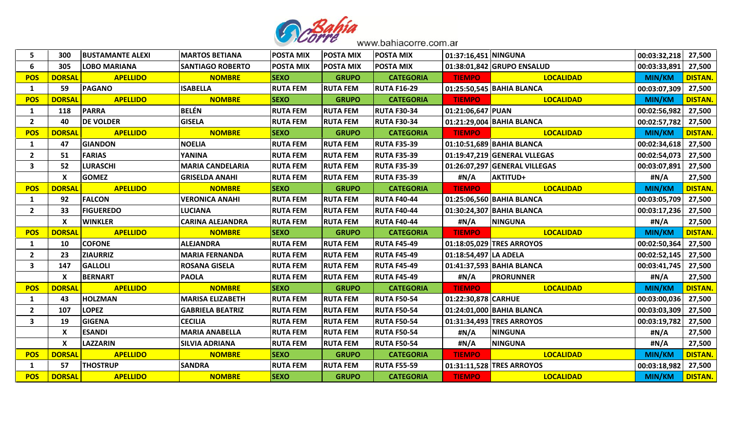

| 5                       | 300                       | <b>BUSTAMANTE ALEXI</b> | <b>MARTOS BETIANA</b>   | <b>POSTA MIX</b> | <b>POSTA MIX</b> | <b>POSTA MIX</b>   | 01:37:16,451 NINGUNA  |                               | 00:03:32,218   27,500 |                |
|-------------------------|---------------------------|-------------------------|-------------------------|------------------|------------------|--------------------|-----------------------|-------------------------------|-----------------------|----------------|
| 6                       | 305                       | <b>LOBO MARIANA</b>     | <b>SANTIAGO ROBERTO</b> | <b>POSTA MIX</b> | <b>POSTA MIX</b> | <b>POSTA MIX</b>   |                       | 01:38:01,842 GRUPO ENSALUD    | 00:03:33,891          | 27,500         |
| <b>POS</b>              | <b>DORSAL</b>             | <b>APELLIDO</b>         | <b>NOMBRE</b>           | <b>SEXO</b>      | <b>GRUPO</b>     | <b>CATEGORIA</b>   | <b>TIEMPO</b>         | <b>LOCALIDAD</b>              | <b>MIN/KM</b>         | <b>DISTAN.</b> |
| 1                       | 59                        | <b>PAGANO</b>           | <b>ISABELLA</b>         | <b>RUTA FEM</b>  | <b>RUTA FEM</b>  | <b>RUTA F16-29</b> |                       | 01:25:50,545 BAHIA BLANCA     | 00:03:07,309          | 27,500         |
| <b>POS</b>              | <b>DORSAI</b>             | <b>APELLIDO</b>         | <b>NOMBRE</b>           | <b>SEXO</b>      | <b>GRUPO</b>     | <b>CATEGORIA</b>   | <b>TIEMPO</b>         | <b>LOCALIDAD</b>              | <b>MIN/KM</b>         | <b>DISTAN.</b> |
| 1                       | 118                       | <b>PARRA</b>            | <b>BELÉN</b>            | <b>RUTA FEM</b>  | <b>RUTA FEM</b>  | <b>RUTA F30-34</b> | 01:21:06,647 PUAN     |                               | 00:02:56,982          | 27,500         |
| $\overline{2}$          | 40                        | <b>DE VOLDER</b>        | <b>GISELA</b>           | <b>RUTA FEM</b>  | <b>RUTA FEM</b>  | <b>RUTA F30-34</b> |                       | 01:21:29,004 BAHIA BLANCA     | 00:02:57,782          | 27,500         |
| <b>POS</b>              | <b>DORSAI</b>             | <b>APELLIDO</b>         | <b>NOMBRE</b>           | <b>SEXO</b>      | <b>GRUPO</b>     | <b>CATEGORIA</b>   | <b>TIEMPO</b>         | <b>LOCALIDAD</b>              | <b>MIN/KM</b>         | <b>DISTAN.</b> |
| 1                       | 47                        | <b>GIANDON</b>          | <b>NOELIA</b>           | <b>RUTA FEM</b>  | <b>RUTA FEM</b>  | <b>RUTA F35-39</b> |                       | 01:10:51,689 BAHIA BLANCA     | 00:02:34,618          | 27,500         |
| $\overline{2}$          | 51                        | <b>FARIAS</b>           | <b>YANINA</b>           | <b>RUTA FEM</b>  | <b>RUTA FEM</b>  | <b>RUTA F35-39</b> |                       | 01:19:47,219 GENERAL VLLEGAS  | 00:02:54,073          | 27,500         |
| $\overline{\mathbf{3}}$ | 52                        | <b>LURASCHI</b>         | <b>MARIA CANDELARIA</b> | <b>RUTA FEM</b>  | <b>RUTA FEM</b>  | <b>RUTA F35-39</b> |                       | 01:26:07,297 GENERAL VILLEGAS | 00:03:07,891          | 27,500         |
|                         | $\boldsymbol{\mathsf{X}}$ | <b>GOMEZ</b>            | <b>GRISELDA ANAHI</b>   | <b>RUTA FEM</b>  | <b>RUTA FEM</b>  | <b>RUTA F35-39</b> | #N/A                  | <b>AKTITUD+</b>               | #N/A                  | 27,500         |
| <b>POS</b>              | <b>DORSAL</b>             | <b>APELLIDO</b>         | <b>NOMBRE</b>           | <b>SEXO</b>      | <b>GRUPO</b>     | <b>CATEGORIA</b>   | <b>TIEMPO</b>         | <b>LOCALIDAD</b>              | <b>MIN/KM</b>         | <b>DISTAN.</b> |
| 1                       | 92                        | <b>FALCON</b>           | <b>VERONICA ANAHI</b>   | <b>RUTA FEM</b>  | <b>RUTA FEM</b>  | <b>RUTA F40-44</b> |                       | 01:25:06,560 BAHIA BLANCA     | 00:03:05,709          | 27,500         |
| $\overline{2}$          | 33                        | <b>FIGUEREDO</b>        | <b>LUCIANA</b>          | <b>RUTA FEM</b>  | <b>RUTA FEM</b>  | <b>RUTA F40-44</b> |                       | 01:30:24,307 BAHIA BLANCA     | 00:03:17,236          | 27,500         |
|                         | $\mathsf{x}$              | <b>WINKLER</b>          | <b>CARINA ALEJANDRA</b> | <b>RUTA FEM</b>  | <b>RUTA FEM</b>  | <b>RUTA F40-44</b> | #N/A                  | <b>NINGUNA</b>                | #N/A                  | 27,500         |
| <b>POS</b>              | <b>DORSAI</b>             | <b>APELLIDO</b>         | <b>NOMBRE</b>           | <b>SEXO</b>      | <b>GRUPO</b>     | <b>CATEGORIA</b>   | <b>TIEMPO</b>         | <b>LOCALIDAD</b>              | <b>MIN/KM</b>         | <b>DISTAN.</b> |
| 1                       | 10                        | <b>COFONE</b>           | <b>ALEJANDRA</b>        | <b>RUTA FEM</b>  | <b>RUTA FEM</b>  | <b>RUTA F45-49</b> |                       | 01:18:05,029 TRES ARROYOS     | 00:02:50,364          | 27,500         |
| $\overline{2}$          | 23                        | <b>ZIAURRIZ</b>         | <b>MARIA FERNANDA</b>   | <b>RUTA FEM</b>  | <b>RUTA FEM</b>  | <b>RUTA F45-49</b> | 01:18:54,497 LA ADELA |                               | 00:02:52,145          | 27,500         |
| 3                       | 147                       | <b>GALLOLI</b>          | <b>ROSANA GISELA</b>    | <b>RUTA FEM</b>  | <b>RUTA FEM</b>  | <b>RUTA F45-49</b> |                       | 01:41:37,593 BAHIA BLANCA     | 00:03:41,745          | 27,500         |
|                         | X                         | <b>BERNART</b>          | <b>PAOLA</b>            | <b>RUTA FEM</b>  | <b>RUTA FEM</b>  | <b>RUTA F45-49</b> | #N/A                  | <b>PRORUNNER</b>              | #N/A                  | 27,500         |
| <b>POS</b>              | <b>DORSAI</b>             | <b>APELLIDO</b>         | <b>NOMBRE</b>           | <b>SEXO</b>      | <b>GRUPO</b>     | <b>CATEGORIA</b>   | <b>TIEMPO</b>         | <b>LOCALIDAD</b>              | <b>MIN/KM</b>         | <b>DISTAN.</b> |
| 1                       | 43                        | <b>HOLZMAN</b>          | <b>MARISA ELIZABETH</b> | <b>RUTA FEM</b>  | <b>RUTA FEM</b>  | <b>RUTA F50-54</b> | 01:22:30,878 CARHUE   |                               | 00:03:00,036          | 27,500         |
| $\overline{2}$          | 107                       | <b>LOPEZ</b>            | <b>GABRIELA BEATRIZ</b> | <b>RUTA FEM</b>  | <b>RUTA FEM</b>  | <b>RUTA F50-54</b> |                       | 01:24:01,000 BAHIA BLANCA     | 00:03:03,309          | 27,500         |
| 3                       | 19                        | <b>GIGENA</b>           | <b>CECILIA</b>          | <b>RUTA FEM</b>  | <b>RUTA FEM</b>  | <b>RUTA F50-54</b> |                       | 01:31:34,493 TRES ARROYOS     | 00:03:19,782          | 27,500         |
|                         | $\boldsymbol{\mathsf{x}}$ | <b>ESANDI</b>           | <b>MARIA ANABELLA</b>   | <b>RUTA FEM</b>  | <b>RUTA FEM</b>  | <b>RUTA F50-54</b> | #N/A                  | <b>NINGUNA</b>                | #N/A                  | 27,500         |
|                         | X                         | <b>LAZZARIN</b>         | <b>SILVIA ADRIANA</b>   | <b>RUTA FEM</b>  | <b>RUTA FEM</b>  | <b>RUTA F50-54</b> | #N/A                  | <b>NINGUNA</b>                | #N/A                  | 27,500         |
| <b>POS</b>              | <b>DORSAL</b>             | <b>APELLIDO</b>         | <b>NOMBRE</b>           | <b>SEXO</b>      | <b>GRUPO</b>     | <b>CATEGORIA</b>   | <b>TIEMPO</b>         | <b>LOCALIDAD</b>              | <b>MIN/KM</b>         | <b>DISTAN.</b> |
| 1                       | 57                        | <b>THOSTRUP</b>         | <b>SANDRA</b>           | <b>RUTA FEM</b>  | <b>RUTA FEM</b>  | <b>RUTA F55-59</b> |                       | 01:31:11,528 TRES ARROYOS     | 00:03:18,982          | 27,500         |
| <b>POS</b>              | <b>DORSAL</b>             | <b>APELLIDO</b>         | <b>NOMBRE</b>           | <b>SEXO</b>      | <b>GRUPO</b>     | <b>CATEGORIA</b>   | <b>TIEMPO</b>         | <b>LOCALIDAD</b>              | MIN/KM                | <b>DISTAN.</b> |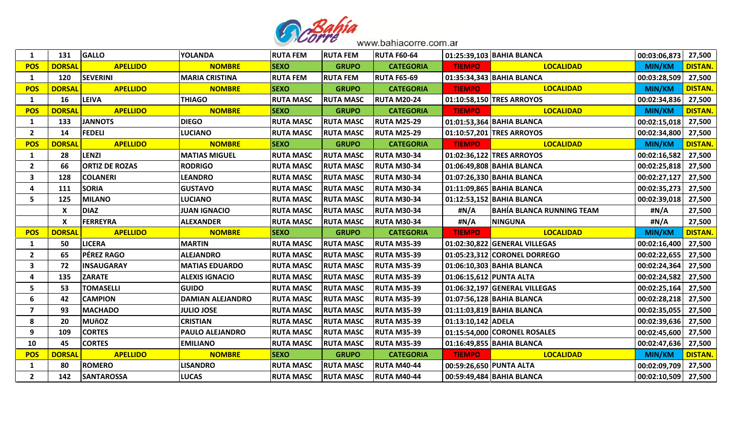

| 1                       | 131           | <b>GALLO</b>          | <b>YOLANDA</b>          | <b>RUTA FEM</b>  | <b>RUTA FEM</b>  | <b>RUTA F60-64</b> |                         | 01:25:39,103 BAHIA BLANCA     | 00:03:06,873          | 27,500         |
|-------------------------|---------------|-----------------------|-------------------------|------------------|------------------|--------------------|-------------------------|-------------------------------|-----------------------|----------------|
| <b>POS</b>              | <b>DORSAL</b> | <b>APELLIDO</b>       | <b>NOMBRE</b>           | <b>SEXO</b>      | <b>GRUPO</b>     | <b>CATEGORIA</b>   | <b>TIEMPO</b>           | <b>LOCALIDAD</b>              | <b>MIN/KM</b>         | <b>DISTAN.</b> |
| 1                       | 120           | <b>SEVERINI</b>       | <b>MARIA CRISTINA</b>   | <b>RUTA FEM</b>  | <b>RUTA FEM</b>  | <b>RUTA F65-69</b> |                         | 01:35:34,343 BAHIA BLANCA     | 00:03:28,509          | 27,500         |
| <b>POS</b>              | <b>DORSAL</b> | <b>APELLIDO</b>       | <b>NOMBRE</b>           | <b>SEXO</b>      | <b>GRUPO</b>     | <b>CATEGORIA</b>   | <b>TIEMPO</b>           | <b>LOCALIDAD</b>              | <b>MIN/KM</b>         | <b>DISTAN.</b> |
| $\mathbf{1}$            | 16            | <b>LEIVA</b>          | <b>THIAGO</b>           | <b>RUTA MASC</b> | <b>RUTA MASC</b> | <b>RUTA M20-24</b> |                         | 01:10:58,150 TRES ARROYOS     | 00:02:34,836          | 27,500         |
| <b>POS</b>              | <b>DORSAL</b> | <b>APELLIDO</b>       | <b>NOMBRE</b>           | <b>SEXO</b>      | <b>GRUPO</b>     | <b>CATEGORIA</b>   | <b>TIEMPO</b>           | <b>LOCALIDAD</b>              | <b>MIN/KM</b>         | <b>DISTAN.</b> |
| $\mathbf{1}$            | 133           | <b>JANNOTS</b>        | <b>DIEGO</b>            | <b>RUTA MASC</b> | <b>RUTA MASC</b> | <b>RUTA M25-29</b> |                         | 01:01:53,364 BAHIA BLANCA     | 00:02:15,018          | 27,500         |
| $\overline{2}$          | 14            | <b>FEDELI</b>         | <b>LUCIANO</b>          | <b>RUTA MASC</b> | <b>RUTA MASC</b> | <b>RUTA M25-29</b> |                         | 01:10:57,201 TRES ARROYOS     | 00:02:34,800          | 27,500         |
| <b>POS</b>              | <b>DORSAI</b> | <b>APELLIDO</b>       | <b>NOMBRE</b>           | <b>SEXO</b>      | <b>GRUPO</b>     | <b>CATEGORIA</b>   | <b>TIEMPO</b>           | <b>LOCALIDAD</b>              | <b>MIN/KM</b>         | <b>DISTAN.</b> |
| 1                       | 28            | LENZI                 | <b>MATIAS MIGUEL</b>    | <b>RUTA MASC</b> | <b>RUTA MASC</b> | <b>RUTA M30-34</b> |                         | 01:02:36,122 TRES ARROYOS     | 00:02:16,582          | 27,500         |
| $\overline{2}$          | 66            | <b>ORTIZ DE ROZAS</b> | <b>RODRIGO</b>          | <b>RUTA MASC</b> | <b>RUTA MASC</b> | <b>RUTA M30-34</b> |                         | 01:06:49,808 BAHIA BLANCA     | 00:02:25,818          | 27,500         |
| $\overline{\mathbf{3}}$ | 128           | <b>COLANERI</b>       | <b>LEANDRO</b>          | <b>RUTA MASC</b> | <b>RUTA MASC</b> | <b>RUTA M30-34</b> |                         | 01:07:26,330 BAHIA BLANCA     | 00:02:27,127   27,500 |                |
| 4                       | 111           | <b>SORIA</b>          | <b>GUSTAVO</b>          | <b>RUTA MASC</b> | <b>RUTA MASC</b> | <b>RUTA M30-34</b> |                         | 01:11:09,865 BAHIA BLANCA     | 00:02:35,273          | 27,500         |
| 5                       | 125           | <b>MILANO</b>         | <b>LUCIANO</b>          | <b>RUTA MASC</b> | <b>RUTA MASC</b> | <b>RUTA M30-34</b> |                         | 01:12:53,152 BAHIA BLANCA     | 00:02:39,018          | 27,500         |
|                         | X             | <b>DIAZ</b>           | <b>JUAN IGNACIO</b>     | <b>RUTA MASC</b> | <b>RUTA MASC</b> | <b>RUTA M30-34</b> | #N/A                    | BAHÍA BLANCA RUNNING TEAM     | #N/A                  | 27,500         |
|                         |               |                       |                         |                  |                  |                    |                         |                               |                       |                |
|                         | X             | <b>FERREYRA</b>       | <b>ALEXANDER</b>        | <b>RUTA MASC</b> | <b>RUTA MASC</b> | <b>RUTA M30-34</b> | #N/A                    | <b>NINGUNA</b>                | #N/A                  | 27,500         |
| <b>POS</b>              | <b>DORSAI</b> | <b>APELLIDO</b>       | <b>NOMBRE</b>           | <b>SEXO</b>      | <b>GRUPO</b>     | <b>CATEGORIA</b>   | <b>TIEMPO</b>           | <b>LOCALIDAD</b>              | <b>MIN/KM</b>         | <b>DISTAN.</b> |
| 1                       | 50            | <b>LICERA</b>         | <b>MARTIN</b>           | <b>RUTA MASC</b> | <b>RUTA MASC</b> | <b>RUTA M35-39</b> |                         | 01:02:30,822 GENERAL VILLEGAS | 00:02:16,400          | 27,500         |
| $\overline{2}$          | 65            | <b>PÉREZ RAGO</b>     | <b>ALEJANDRO</b>        | <b>RUTA MASC</b> | <b>RUTA MASC</b> | <b>RUTA M35-39</b> |                         | 01:05:23,312 CORONEL DORREGO  | 00:02:22,655          | 27,500         |
| $\overline{\mathbf{3}}$ | 72            | <b>INSAUGARAY</b>     | <b>MATIAS EDUARDO</b>   | <b>RUTA MASC</b> | <b>RUTA MASC</b> | <b>RUTA M35-39</b> |                         | 01:06:10,303 BAHIA BLANCA     | 00:02:24,364          | 27,500         |
| 4                       | 135           | <b>ZARATE</b>         | <b>ALEXIS IGNACIO</b>   | <b>RUTA MASC</b> | <b>RUTA MASC</b> | <b>RUTA M35-39</b> | 01:06:15,612 PUNTA ALTA |                               | 00:02:24,582   27,500 |                |
| 5                       | 53            | <b>TOMASELLI</b>      | <b>GUIDO</b>            | <b>RUTA MASC</b> | <b>RUTA MASC</b> | <b>RUTA M35-39</b> |                         | 01:06:32,197 GENERAL VILLEGAS | 00:02:25,164          | 27,500         |
| 6                       | 42            | <b>CAMPION</b>        | <b>DAMIAN ALEJANDRO</b> | <b>RUTA MASC</b> | <b>RUTA MASC</b> | <b>RUTA M35-39</b> |                         | 01:07:56,128 BAHIA BLANCA     | 00:02:28,218          | 27,500         |
| $\overline{\mathbf{z}}$ | 93            | <b>MACHADO</b>        | <b>JULIO JOSE</b>       | <b>RUTA MASC</b> | <b>RUTA MASC</b> | <b>RUTA M35-39</b> |                         | 01:11:03,819 BAHIA BLANCA     | 00:02:35,055   27,500 |                |
| 8                       | 20            | <b>MUñOZ</b>          | CRISTIAN                | <b>RUTA MASC</b> | <b>RUTA MASC</b> | <b>RUTA M35-39</b> | 01:13:10,142 ADELA      |                               | 00:02:39,636          | 27,500         |
| $\boldsymbol{9}$        | 109           | <b>CORTES</b>         | PAULO ALEJANDRO         | <b>RUTA MASC</b> | <b>RUTA MASC</b> | <b>RUTA M35-39</b> |                         | 01:15:54,000 CORONEL ROSALES  | 00:02:45,600          | 27,500         |
| 10                      | 45            | <b>CORTES</b>         | <b>EMILIANO</b>         | <b>RUTA MASC</b> | <b>RUTA MASC</b> | <b>RUTA M35-39</b> |                         | 01:16:49,855 BAHIA BLANCA     | 00:02:47,636          | 27,500         |
| <b>POS</b>              | <b>DORSAL</b> | <b>APELLIDO</b>       | <b>NOMBRE</b>           | <b>SEXO</b>      | <b>GRUPO</b>     | <b>CATEGORIA</b>   | <b>TIEMPO</b>           | <b>LOCALIDAD</b>              | <b>MIN/KM</b>         | <b>DISTAN.</b> |
| 1                       | 80            | <b>ROMERO</b>         | <b>LISANDRO</b>         | <b>RUTA MASC</b> | <b>RUTA MASC</b> | <b>RUTA M40-44</b> | 00:59:26,650 PUNTA ALTA |                               | 00:02:09,709          | 27,500         |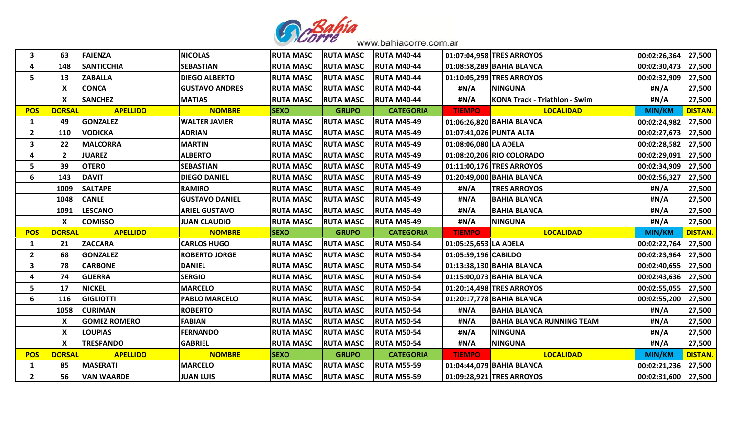

| 3                       | 63             | <b>FAIENZA</b>      | <b>NICOLAS</b>        | <b>RUTA MASC</b> | <b>RUTA MASC</b> | <b>RUTA M40-44</b> |                         | 01:07:04,958 TRES ARROYOS            | 00:02:26,364          | 27,500         |
|-------------------------|----------------|---------------------|-----------------------|------------------|------------------|--------------------|-------------------------|--------------------------------------|-----------------------|----------------|
| Δ                       | 148            | <b>SANTICCHIA</b>   | <b>SEBASTIAN</b>      | <b>RUTA MASC</b> | <b>RUTA MASC</b> | <b>RUTA M40-44</b> |                         | 01:08:58,289 BAHIA BLANCA            | 00:02:30,473          | 27,500         |
| 5 <sup>1</sup>          | 13             | <b>ZABALLA</b>      | <b>DIEGO ALBERTO</b>  | <b>RUTA MASC</b> | <b>RUTA MASC</b> | <b>RUTA M40-44</b> |                         | 01:10:05,299 TRES ARROYOS            | 00:02:32,909          | 27,500         |
|                         | X              | <b>CONCA</b>        | <b>GUSTAVO ANDRES</b> | <b>RUTA MASC</b> | <b>RUTA MASC</b> | <b>RUTA M40-44</b> | #N/A                    | <b>NINGUNA</b>                       | #N/A                  | 27,500         |
|                         | X              | <b>SANCHEZ</b>      | <b>MATIAS</b>         | <b>RUTA MASC</b> | <b>RUTA MASC</b> | <b>RUTA M40-44</b> | #N/A                    | <b>KONA Track - Triathlon - Swim</b> | #N/A                  | 27,500         |
| <b>POS</b>              | <b>DORSAI</b>  | <b>APELLIDO</b>     | <b>NOMBRE</b>         | <b>SEXO</b>      | <b>GRUPO</b>     | <b>CATEGORIA</b>   | <b>TIEMPO</b>           | <b>LOCALIDAD</b>                     | <b>MIN/KM</b>         | <b>DISTAN.</b> |
| 1                       | 49             | <b>GONZALEZ</b>     | <b>WALTER JAVIER</b>  | <b>RUTA MASC</b> | <b>RUTA MASC</b> | <b>RUTA M45-49</b> |                         | 01:06:26,820 BAHIA BLANCA            | 00:02:24,982          | 27,500         |
| $\overline{2}$          | 110            | <b>VODICKA</b>      | <b>ADRIAN</b>         | <b>RUTA MASC</b> | <b>RUTA MASC</b> | <b>RUTA M45-49</b> | 01:07:41,026 PUNTA ALTA |                                      | 00:02:27,673          | 27,500         |
| $\overline{\mathbf{3}}$ | 22             | <b>MALCORRA</b>     | <b>MARTIN</b>         | <b>RUTA MASC</b> | <b>RUTA MASC</b> | <b>RUTA M45-49</b> | 01:08:06,080 LA ADELA   |                                      | 00:02:28,582          | 27,500         |
| 4                       | $\overline{2}$ | <b>JUAREZ</b>       | <b>ALBERTO</b>        | <b>RUTA MASC</b> | <b>RUTA MASC</b> | <b>RUTA M45-49</b> |                         | 01:08:20,206 RIO COLORADO            | 00:02:29,091          | 27,500         |
| 5                       | 39             | <b>OTERO</b>        | <b>SEBASTIAN</b>      | <b>RUTA MASC</b> | <b>RUTA MASC</b> | <b>RUTA M45-49</b> |                         | 01:11:00,176 TRES ARROYOS            | 00:02:34,909          | 27,500         |
| 6                       | 143            | <b>DAVIT</b>        | <b>DIEGO DANIEL</b>   | <b>RUTA MASC</b> | <b>RUTA MASC</b> | <b>RUTA M45-49</b> |                         | 01:20:49,000 BAHIA BLANCA            | 00:02:56,327          | 27,500         |
|                         | 1009           | <b>SALTAPE</b>      | <b>RAMIRO</b>         | <b>RUTA MASC</b> | <b>RUTA MASC</b> | <b>RUTA M45-49</b> | #N/A                    | <b>TRES ARROYOS</b>                  | #N/A                  | 27,500         |
|                         | 1048           | <b>CANLE</b>        | <b>GUSTAVO DANIEL</b> | <b>RUTA MASC</b> | <b>RUTA MASC</b> | <b>RUTA M45-49</b> | #N/A                    | <b>BAHIA BLANCA</b>                  | #N/A                  | 27,500         |
|                         | 1091           | <b>LESCANO</b>      | <b>ARIEL GUSTAVO</b>  | <b>RUTA MASC</b> | <b>RUTA MASC</b> | <b>RUTA M45-49</b> | #N/A                    | <b>BAHIA BLANCA</b>                  | #N/A                  | 27,500         |
|                         | X              | <b>COMISSO</b>      | <b>JUAN CLAUDIO</b>   | <b>RUTA MASC</b> | <b>RUTA MASC</b> | <b>RUTA M45-49</b> | #N/A                    | <b>NINGUNA</b>                       | #N/A                  | 27,500         |
| <b>POS</b>              | <b>DORSAI</b>  | <b>APELLIDO</b>     | <b>NOMBRE</b>         | <b>SEXO</b>      | <b>GRUPO</b>     | <b>CATEGORIA</b>   | <b>TIEMPO</b>           | <b>LOCALIDAD</b>                     | MIN/KM                | <b>DISTAN.</b> |
| 1                       | 21             | <b>ZACCARA</b>      | <b>CARLOS HUGO</b>    | <b>RUTA MASC</b> | <b>RUTA MASC</b> | <b>RUTA M50-54</b> | 01:05:25,653 LA ADELA   |                                      | 00:02:22,764          | 27,500         |
| $\overline{2}$          | 68             | <b>GONZALEZ</b>     | <b>ROBERTO JORGE</b>  | <b>RUTA MASC</b> | <b>RUTA MASC</b> | <b>RUTA M50-54</b> | 01:05:59,196 CABILDO    |                                      | 00:02:23,964          | 27,500         |
| 3                       | 78             | <b>CARBONE</b>      | <b>DANIEL</b>         | <b>RUTA MASC</b> | <b>RUTA MASC</b> | <b>RUTA M50-54</b> |                         | 01:13:38,130 BAHIA BLANCA            | 00:02:40,655          | 27,500         |
| 4                       | 74             | <b>GUERRA</b>       | <b>SERGIO</b>         | <b>RUTA MASC</b> | <b>RUTA MASC</b> | <b>RUTA M50-54</b> |                         | 01:15:00,073 BAHIA BLANCA            | 00:02:43,636          | 27,500         |
| 5                       | 17             | <b>NICKEL</b>       | <b>MARCELO</b>        | <b>RUTA MASC</b> | <b>RUTA MASC</b> | <b>RUTA M50-54</b> |                         | 01:20:14,498 TRES ARROYOS            | 00:02:55,055          | 27,500         |
| 6                       | 116            | <b>GIGLIOTTI</b>    | <b>PABLO MARCELO</b>  | <b>RUTA MASC</b> | <b>RUTA MASC</b> | <b>RUTA M50-54</b> |                         | 01:20:17,778 BAHIA BLANCA            | 00:02:55,200          | 27,500         |
|                         | 1058           | <b>CURIMAN</b>      | <b>ROBERTO</b>        | <b>RUTA MASC</b> | <b>RUTA MASC</b> | <b>RUTA M50-54</b> | #N/A                    | <b>BAHIA BLANCA</b>                  | #N/A                  | 27,500         |
|                         | X              | <b>GOMEZ ROMERO</b> | <b>FABIAN</b>         | <b>RUTA MASC</b> | <b>RUTA MASC</b> | <b>RUTA M50-54</b> | #N/A                    | <b>BAHÍA BLANCA RUNNING TEAM</b>     | #N/A                  | 27,500         |
|                         | X              | <b>LOUPIAS</b>      | <b>FERNANDO</b>       | <b>RUTA MASC</b> | <b>RUTA MASC</b> | <b>RUTA M50-54</b> | #N/A                    | <b>NINGUNA</b>                       | #N/A                  | 27,500         |
|                         | X              | <b>TRESPANDO</b>    | <b>GABRIEL</b>        | <b>RUTA MASC</b> | <b>RUTA MASC</b> | <b>RUTA M50-54</b> | #N/A                    | <b>NINGUNA</b>                       | #N/A                  | 27,500         |
| <b>POS</b>              | <b>DORSAI</b>  | <b>APELLIDO</b>     | <b>NOMBRE</b>         | <b>SEXO</b>      | <b>GRUPO</b>     | <b>CATEGORIA</b>   | <b>TIEMPO</b>           | <b>LOCALIDAD</b>                     | <b>MIN/KM</b>         | <b>DISTAN.</b> |
| 1                       | 85             | <b>MASERATI</b>     | <b>MARCELO</b>        | <b>RUTA MASC</b> | <b>RUTA MASC</b> | <b>RUTA M55-59</b> |                         | 01:04:44,079 BAHIA BLANCA            | 00:02:21,236          | 27,500         |
|                         |                |                     |                       |                  |                  |                    |                         |                                      |                       |                |
| $\overline{2}$          | 56             | <b>VAN WAARDE</b>   | <b>JUAN LUIS</b>      | <b>RUTA MASC</b> | <b>RUTA MASC</b> | <b>RUTA M55-59</b> |                         | 01:09:28,921 TRES ARROYOS            | 00:02:31,600   27,500 |                |